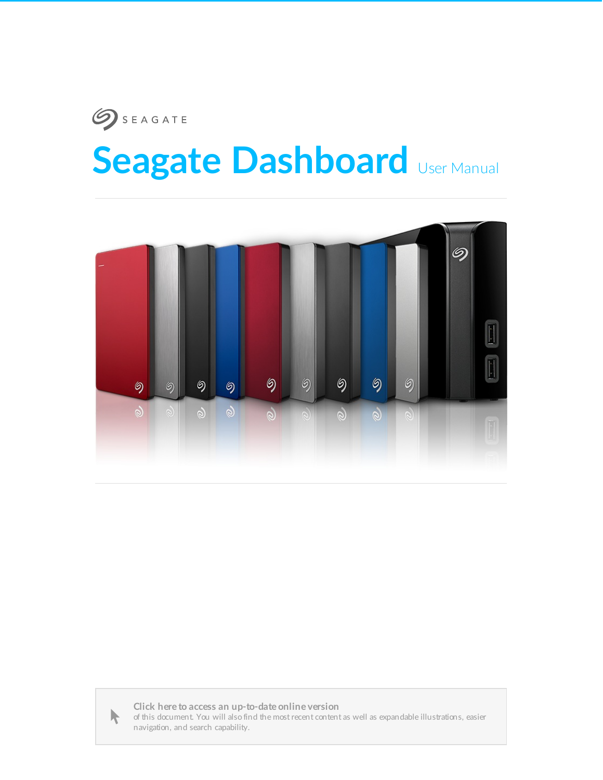# **SEAGATE Seagate Dashboard** User Manual





**Click here to access an [up-to-date](http://www.seagate.com/manuals/software/dashboard) online version** of this document. You will also find the most recent content as well as expandable illustrations, easier navigation, and search capability.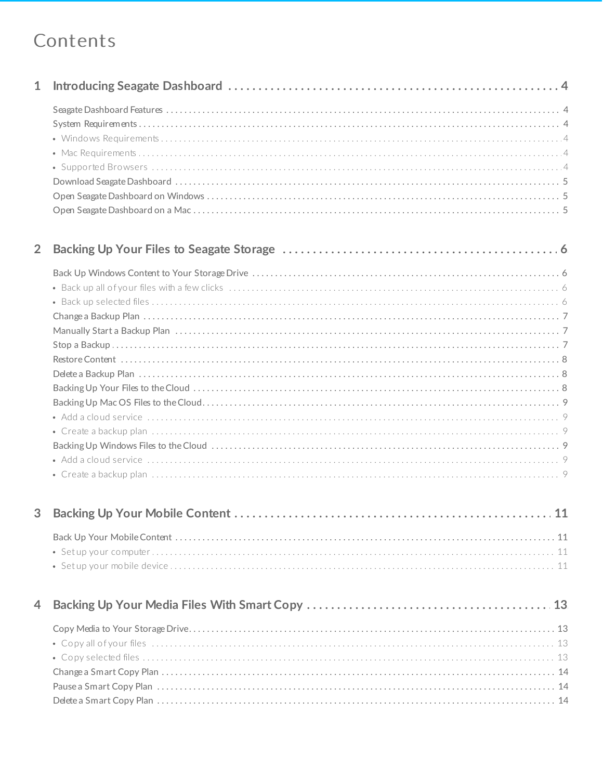### Contents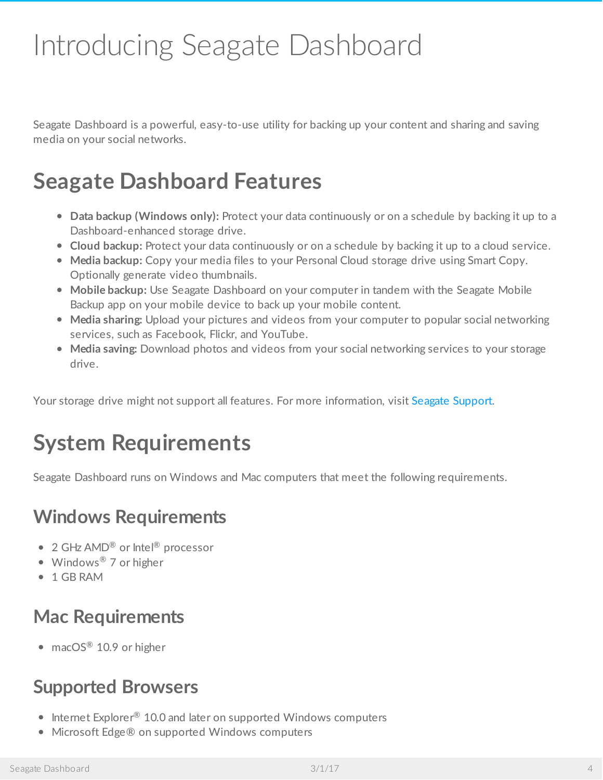# <span id="page-3-0"></span>Introducing Seagate Dashboard

Seagate Dashboard is a powerful, easy-to-use utility for backing up your content and sharing and saving media on your social networks.

# <span id="page-3-1"></span>**Seagate Dashboard Features**

- **Data backup (Windows only):** Protect your data continuously or on a schedule by backing it up to a Dashboard-enhanced storage drive.
- **Cloud backup:** Protect your data continuously or on a schedule by backing it up to a cloud service.
- **Media backup:** Copy your media files to your Personal Cloud storage drive using Smart Copy. Optionally generate video thumbnails.
- **Mobile backup:** Use Seagate Dashboard on your computer in tandem with the Seagate Mobile Backup app on your mobile device to back up your mobile content.
- **Media sharing:** Upload your pictures and videos from your computer to popular social networking services, such as Facebook, Flickr, and YouTube.
- **Media saving:** Download photos and videos from your social networking services to your storage drive.

Your storage drive might not support all features. For more information, visit Seagate [Support](http://www.seagate.com/support).

# <span id="page-3-2"></span>**System Requirements**

Seagate Dashboard runs on Windows and Mac computers that meet the following requirements.

### <span id="page-3-3"></span>**Windows Requirements**

- 2 GHz AMD<sup>®</sup> or Intel® processor
- Windows<sup>®</sup> 7 or higher
- 1 GB RAM

### <span id="page-3-4"></span>**Mac Requirements**

 $macOS^{\circledR}$  10.9 or higher

### <span id="page-3-5"></span>**Supported Browsers**

- Internet Explorer® 10.0 and later on supported Windows computers
- Microsoft Edge® on supported Windows computers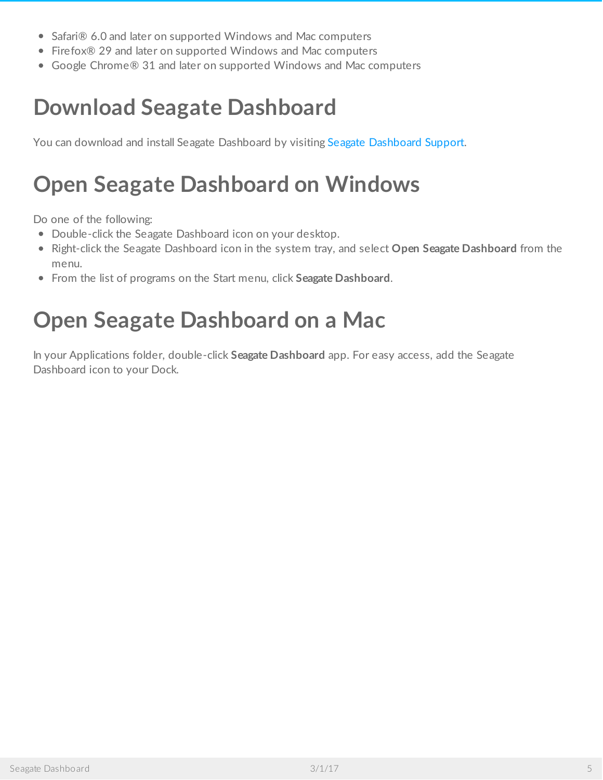- Safari® 6.0 and later on supported Windows and Mac computers
- Firefox® 29 and later on supported Windows and Mac computers
- Google Chrome® 31 and later on supported Windows and Mac computers

## <span id="page-4-0"></span>**Download Seagate Dashboard**

You can download and install Seagate [Dashboard](http://www.seagate.com/support/software/dashboard/) by visiting Seagate Dashboard Support.

# <span id="page-4-1"></span>**Open Seagate Dashboard on Windows**

Do one of the following:

- Double-click the Seagate Dashboard icon on your desktop.
- Right-click the Seagate Dashboard icon in the system tray, and select **Open Seagate Dashboard** from the menu.
- From the list of programs on the Start menu, click **Seagate Dashboard**.

## <span id="page-4-2"></span>**Open Seagate Dashboard on a Mac**

In your Applications folder, double-click **Seagate Dashboard** app. For easy access, add the Seagate Dashboard icon to your Dock.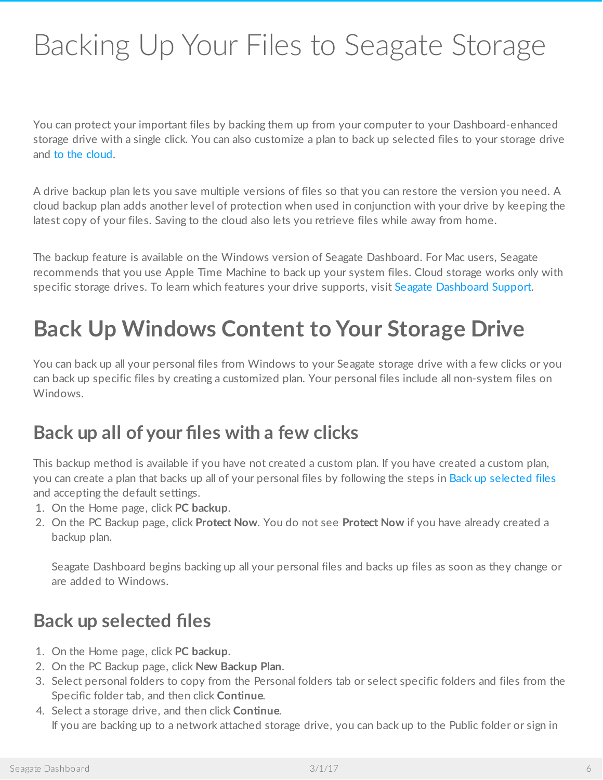# <span id="page-5-4"></span><span id="page-5-0"></span>Backing Up Your Files to Seagate Storage

You can protect your important files by backing them up from your computer to your Dashboard-enhanced storage drive with a single click. You can also customize a plan to back up selected files to your storage drive and to the [cloud](#page-5-4).

A drive backup plan lets you save multiple versions of files so that you can restore the version you need. A cloud backup plan adds another level of protection when used in conjunction with your drive by keeping the latest copy of your files. Saving to the cloud also lets you retrieve files while away from home.

The backup feature is available on the Windows version of Seagate Dashboard. For Mac users, Seagate recommends that you use Apple Time Machine to back up your system files. Cloud storage works only with specific storage drives. To learn which features your drive supports, visit Seagate [Dashboard](http://www.seagate.com/support/software/dashboard/) Support.

# <span id="page-5-1"></span>**Back Up Windows Content to Your Storage Drive**

You can back up all your personal files from Windows to your Seagate storage drive with a few clicks or you can back up specific files by creating a customized plan. Your personal files include all non-system files on Windows.

### <span id="page-5-2"></span>**Back up all of your files with a few clicks**

This backup method is available if you have not created a custom plan. If you have created a custom plan, you can create a plan that backs up all of your personal files by following the steps in Back up [selected](#page-5-4) files and accepting the default settings.

- 1. On the Home page, click **PC backup**.
- 2. On the PC Backup page, click **Protect Now**. You do not see **Protect Now** if you have already created a backup plan.

Seagate Dashboard begins backing up all your personal files and backs up files as soon as they change or are added to Windows.

#### <span id="page-5-3"></span>**Back up selected files**

- 1. On the Home page, click **PC backup**.
- 2. On the PC Backup page, click **New Backup Plan**.
- 3. Select personal folders to copy from the Personal folders tab or select specific folders and files from the Specific folder tab, and then click **Continue**.
- 4. Select a storage drive, and then click **Continue**. If you are backing up to a network attached storage drive, you can back up to the Public folder or sign in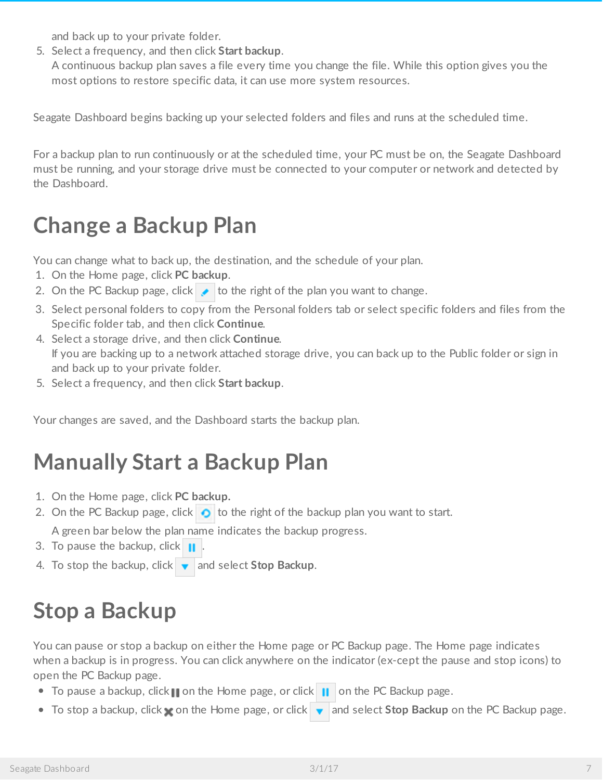and back up to your private folder.

5. Select a frequency, and then click **Start backup**. A continuous backup plan saves a file every time you change the file. While this option gives you the most options to restore specific data, it can use more system resources.

Seagate Dashboard begins backing up your selected folders and files and runs at the scheduled time.

For a backup plan to run continuously or at the scheduled time, your PC must be on, the Seagate Dashboard must be running, and your storage drive must be connected to your computer or network and detected by the Dashboard.

# <span id="page-6-0"></span>**Change a Backup Plan**

You can change what to back up, the destination, and the schedule of your plan.

- 1. On the Home page, click **PC backup**.
- 2. On the PC Backup page, click  $\bullet$  to the right of the plan you want to change.
- 3. Select personal folders to copy from the Personal folders tab or select specific folders and files from the Specific folder tab, and then click **Continue**.
- 4. Select a storage drive, and then click **Continue**. If you are backing up to a network attached storage drive, you can back up to the Public folder or sign in and back up to your private folder.
- 5. Select a frequency, and then click **Start backup**.

Your changes are saved, and the Dashboard starts the backup plan.

# <span id="page-6-1"></span>**Manually Start a Backup Plan**

- 1. On the Home page, click **PC backup.**
- 2. On the PC Backup page, click  $\bullet$  to the right of the backup plan you want to start.

A green bar below the plan name indicates the backup progress.

- 3. To pause the backup, click  $\|\cdot\|$
- 4. To stop the backup, click  $\bullet$  and select **Stop Backup**.

# <span id="page-6-2"></span>**Stop a Backup**

You can pause or stop a backup on either the Home page or PC Backup page. The Home page indicates when a backup is in progress. You can click anywhere on the indicator (ex-cept the pause and stop icons) to open the PC Backup page.

- To pause a backup, click  $\mathbf{u}$  on the Home page, or click  $\mathbf{u}$  on the PC Backup page.
- To stop a backup, click **on** the Home page, or click **and select Stop Backup** on the PC Backup page.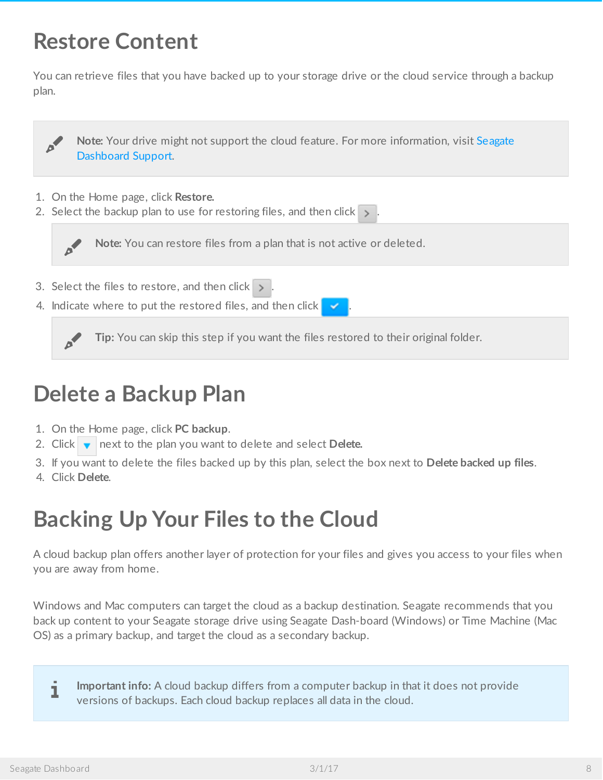### <span id="page-7-0"></span>**Restore Content**

You can retrieve files that you have backed up to your storage drive or the cloud service through a backup plan.



4. Indicate where to put the restored files, and then click

**Tip:** You can skip this step if you want the files restored to their original folder.

## <span id="page-7-1"></span>**Delete a Backup Plan**

- 1. On the Home page, click **PC backup**.
- 2. Click  $\bullet$  next to the plan you want to delete and select **Delete.**
- 3. If you want to delete the files backed up by this plan, select the box next to **Delete backed up files**.
- 4. Click **Delete**.

## <span id="page-7-2"></span>**Backing Up Your Files to the Cloud**

A cloud backup plan offers another layer of protection for your files and gives you access to your files when you are away from home.

Windows and Mac computers can target the cloud as a backup destination. Seagate recommends that you back up content to your Seagate storage drive using Seagate Dash-board (Windows) or Time Machine (Mac OS) as a primary backup, and target the cloud as a secondary backup.

**Important info:** A cloud backup differs from a computer backup in that it does not provide versions of backups. Each cloud backup replaces all data in the cloud.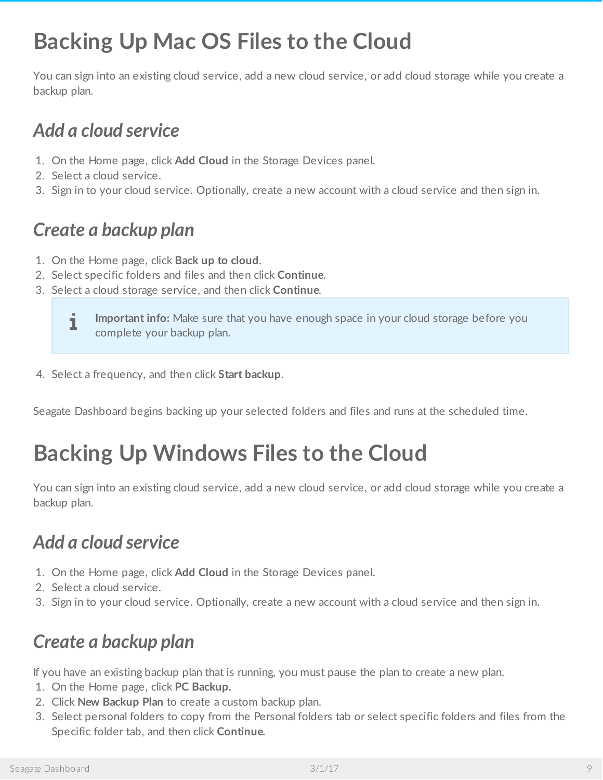# <span id="page-8-0"></span>**Backing Up Mac OS Files to the Cloud**

You can sign into an existing cloud service, add a new cloud service, or add cloud storage while you create a backup plan.

### <span id="page-8-1"></span>*Add a cloud service*

- 1. On the Home page, click **Add Cloud** in the Storage Devices panel.
- 2. Select a cloud service.
- 3. Sign in to your cloud service. Optionally, create a new account with a cloud service and then sign in.

#### <span id="page-8-2"></span>*Create a backup plan*

- 1. On the Home page, click **Back up to cloud**.
- 2. Select specific folders and files and then click **Continue**.
- 3. Select a cloud storage service, and then click **Continue**.



4. Select a frequency, and then click **Start backup**.

Seagate Dashboard begins backing up your selected folders and files and runs at the scheduled time.

# <span id="page-8-3"></span>**Backing Up Windows Files to the Cloud**

You can sign into an existing cloud service, add a new cloud service, or add cloud storage while you create a backup plan.

### <span id="page-8-4"></span>*Add a cloud service*

- 1. On the Home page, click **Add Cloud** in the Storage Devices panel.
- 2. Select a cloud service.
- 3. Sign in to your cloud service. Optionally, create a new account with a cloud service and then sign in.

#### <span id="page-8-5"></span>*Create a backup plan*

If you have an existing backup plan that is running, you must pause the plan to create a new plan.

- 1. On the Home page, click **PC Backup.**
- 2. Click **New Backup Plan** to create a custom backup plan.
- 3. Select personal folders to copy from the Personal folders tab or select specific folders and files from the Specific folder tab, and then click **Continue.**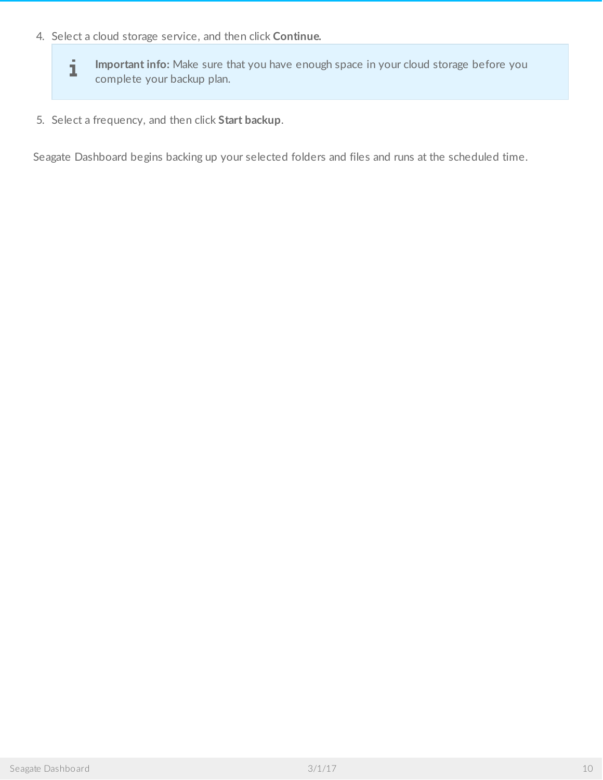4. Select a cloud storage service, and then click **Continue.**

**Important info:** Make sure that you have enough space in your cloud storage before you complete your backup plan.

5. Select a frequency, and then click **Start backup**.

Seagate Dashboard begins backing up your selected folders and files and runs at the scheduled time.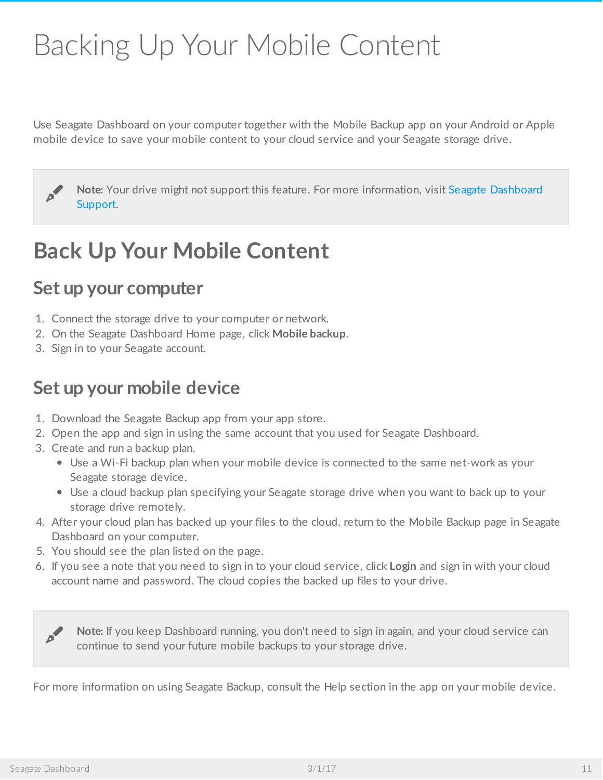# <span id="page-10-0"></span>Backing Up Your Mobile Content

Use Seagate Dashboard on your computer together with the Mobile Backup app on your Android or Apple mobile device to save your mobile content to your cloud service and your Seagate storage drive.

Note: Your drive might not support this feature. For more [information,](http://www.seagate.com/support/software/dashboard/) visit Seagate Dashboard Support.

### <span id="page-10-1"></span>**Back Up Your Mobile Content**

#### <span id="page-10-2"></span>**Set up your computer**

- 1. Connect the storage drive to your computer or network.
- 2. On the Seagate Dashboard Home page, click **Mobile backup**.
- 3. Sign in to your Seagate account.

#### <span id="page-10-3"></span>**Set up your mobile device**

- 1. Download the Seagate Backup app from your app store.
- 2. Open the app and sign in using the same account that you used for Seagate Dashboard.
- 3. Create and run a backup plan.
	- Use a Wi-Fi backup plan when your mobile device is connected to the same net-work as your Seagate storage device.
	- Use a cloud backup plan specifying your Seagate storage drive when you want to back up to your storage drive remotely.
- 4. After your cloud plan has backed up your files to the cloud, return to the Mobile Backup page in Seagate Dashboard on your computer.
- 5. You should see the plan listed on the page.
- 6. If you see a note that you need to sign in to your cloud service, click **Login** and sign in with your cloud account name and password. The cloud copies the backed up files to your drive.

**Note:** If you keep Dashboard running, you don't need to sign in again, and your cloud service can continue to send your future mobile backups to your storage drive.

For more information on using Seagate Backup, consult the Help section in the app on your mobile device.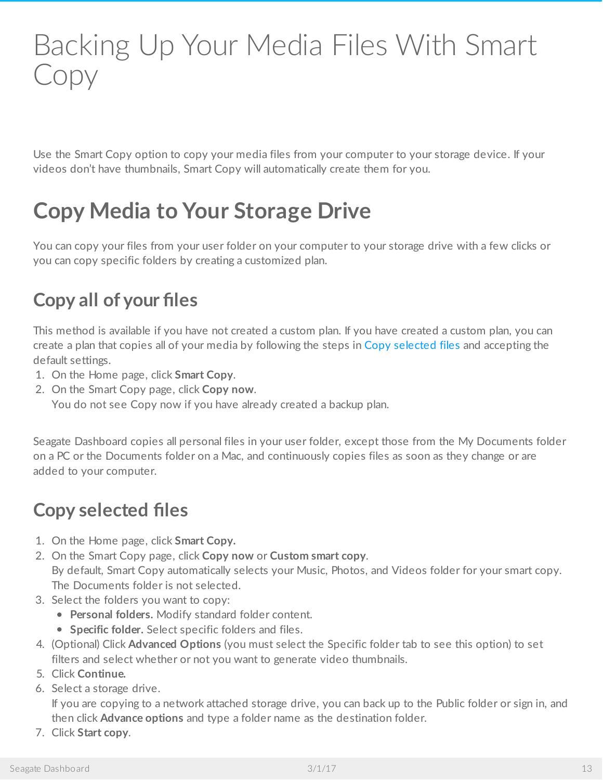# <span id="page-12-4"></span><span id="page-12-0"></span>Backing Up Your Media Files With Smart Copy

Use the Smart Copy option to copy your media files from your computer to your storage device. If your videos don't have thumbnails, Smart Copy will automatically create them for you.

# <span id="page-12-1"></span>**Copy Media to Your Storage Drive**

You can copy your files from your user folder on your computer to your storage drive with a few clicks or you can copy specific folders by creating a customized plan.

### <span id="page-12-2"></span>**Copy all of your files**

This method is available if you have not created a custom plan. If you have created a custom plan, you can create a plan that copies all of your media by following the steps in Copy [selected](#page-12-4) files and accepting the default settings.

- 1. On the Home page, click **Smart Copy**.
- 2. On the Smart Copy page, click **Copy now**.

You do not see Copy now if you have already created a backup plan.

Seagate Dashboard copies all personal files in your user folder, except those from the My Documents folder on a PC or the Documents folder on a Mac, and continuously copies files as soon as they change or are added to your computer.

### <span id="page-12-3"></span>**Copy selected files**

- 1. On the Home page, click **Smart Copy.**
- 2. On the Smart Copy page, click **Copy now** or **Custom smart copy**. By default, Smart Copy automatically selects your Music, Photos, and Videos folder for your smart copy. The Documents folder is not selected.
- 3. Select the folders you want to copy:
	- **Personal folders.** Modify standard folder content.
	- **Specific folder.** Select specific folders and files.
- 4. (Optional) Click **Advanced Options** (you must select the Specific folder tab to see this option) to set filters and select whether or not you want to generate video thumbnails.
- 5. Click **Continue.**
- 6. Select a storage drive.

If you are copying to a network attached storage drive, you can back up to the Public folder or sign in, and then click **Advance options** and type a folder name as the destination folder.

7. Click **Start copy**.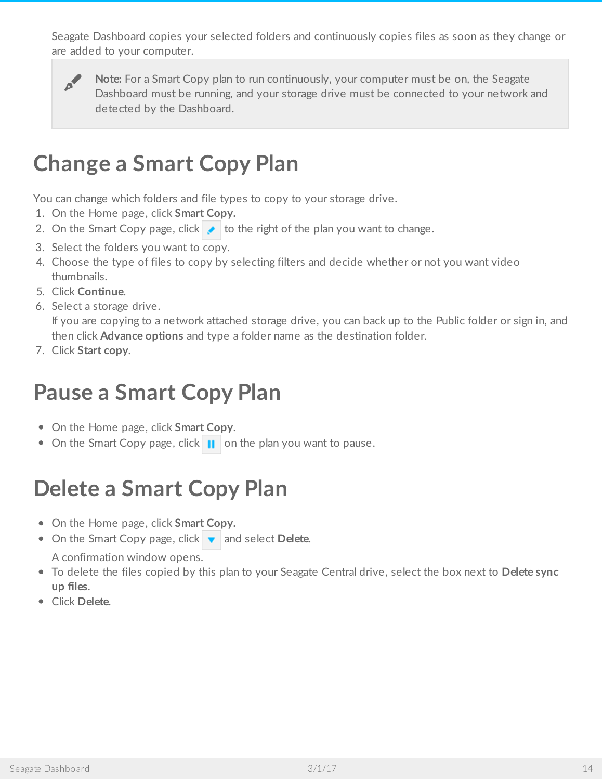Seagate Dashboard copies your selected folders and continuously copies files as soon as they change or are added to your computer.



**Note:** For a Smart Copy plan to run continuously, your computer must be on, the Seagate Dashboard must be running, and your storage drive must be connected to your network and detected by the Dashboard.

## <span id="page-13-0"></span>**Change a Smart Copy Plan**

You can change which folders and file types to copy to your storage drive.

- 1. On the Home page, click **Smart Copy.**
- 2. On the Smart Copy page, click  $\bullet$  to the right of the plan you want to change.
- 3. Select the folders you want to copy.
- 4. Choose the type of files to copy by selecting filters and decide whether or not you want video thumbnails.
- 5. Click **Continue.**
- 6. Select a storage drive.

If you are copying to a network attached storage drive, you can back up to the Public folder or sign in, and then click **Advance options** and type a folder name as the destination folder.

7. Click **Start copy.**

## <span id="page-13-1"></span>**Pause a Smart Copy Plan**

- On the Home page, click **Smart Copy**.
- On the Smart Copy page, click  $\parallel \parallel$  on the plan you want to pause.

# <span id="page-13-2"></span>**Delete a Smart Copy Plan**

- On the Home page, click **Smart Copy.**
- On the Smart Copy page, click **v** and select **Delete.** A confirmation window opens.
- To delete the files copied by this plan to your Seagate Central drive, select the box next to **Delete sync up files**.
- Click **Delete**.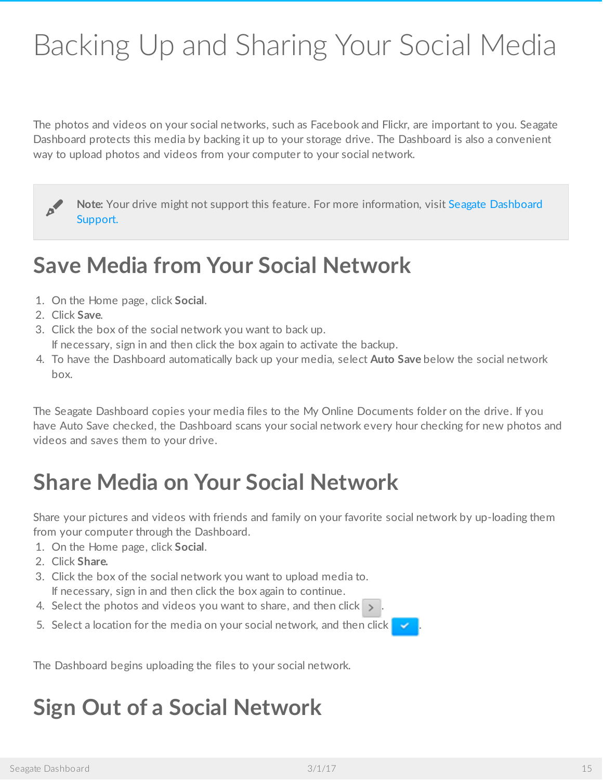# <span id="page-14-0"></span>Backing Up and Sharing Your Social Media

The photos and videos on your social networks, such as Facebook and Flickr, are important to you. Seagate Dashboard protects this media by backing it up to your storage drive. The Dashboard is also a convenient way to upload photos and videos from your computer to your social network.

Note: Your drive might not support this feature. For more [information,](http://www.seagate.com/support/software/dashboard/) visit Seagate Dashboard Support.

### <span id="page-14-1"></span>**Save Media from Your Social Network**

- 1. On the Home page, click **Social**.
- 2. Click **Save**.
- 3. Click the box of the social network you want to back up.

If necessary, sign in and then click the box again to activate the backup.

4. To have the Dashboard automatically back up your media, select **Auto Save** below the social network box.

The Seagate Dashboard copies your media files to the My Online Documents folder on the drive. If you have Auto Save checked, the Dashboard scans your social network every hour checking for new photos and videos and saves them to your drive.

# <span id="page-14-2"></span>**Share Media on Your Social Network**

Share your pictures and videos with friends and family on your favorite social network by up-loading them from your computer through the Dashboard.

- 1. On the Home page, click **Social**.
- 2. Click **Share.**
- 3. Click the box of the social network you want to upload media to. If necessary, sign in and then click the box again to continue.
- 4. Select the photos and videos you want to share, and then click  $\rightarrow$
- 5. Select a location for the media on your social network, and then click  $\blacktriangleright$

The Dashboard begins uploading the files to your social network.

## <span id="page-14-3"></span>**Sign Out of a Social Network**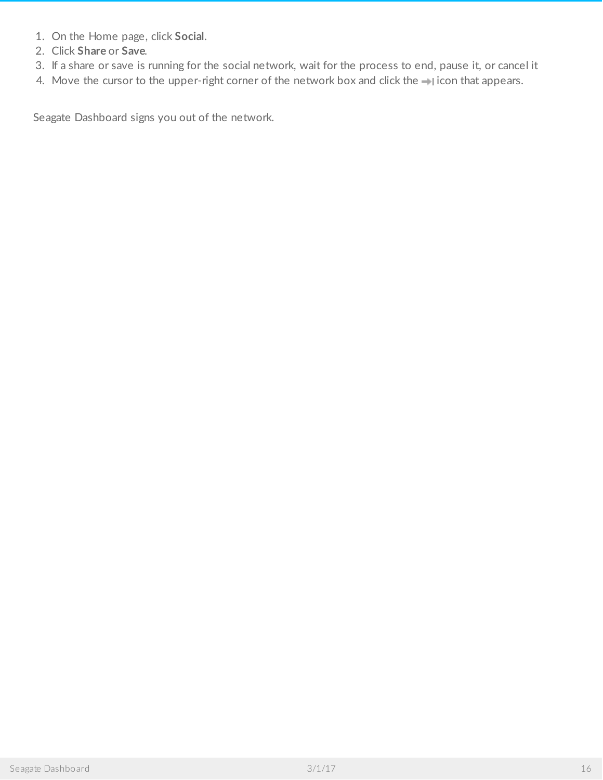- 1. On the Home page, click **Social**.
- 2. Click **Share** or **Save**.
- 3. If a share or save is running for the social network, wait for the process to end, pause it, or cancel it
- 4. Move the cursor to the upper-right corner of the network box and click the  $\rightarrow$  icon that appears.

Seagate Dashboard signs you out of the network.